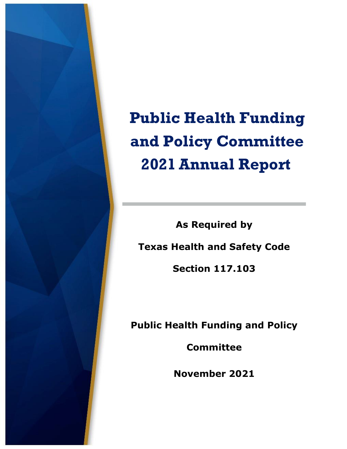

**Public Health Funding and Policy Committee 2021Annual Report** 

**As Required by Texas Health and Safety Code Section 117.103** 

**Public Health Funding and Policy** 

**Committee** 

**November 2021**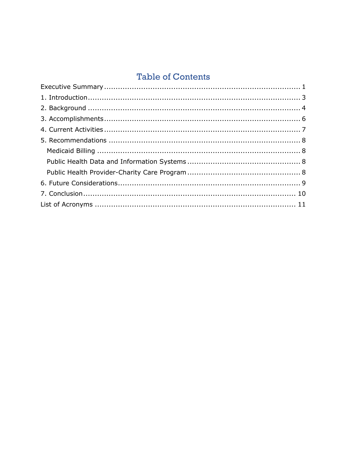## **Table of Contents**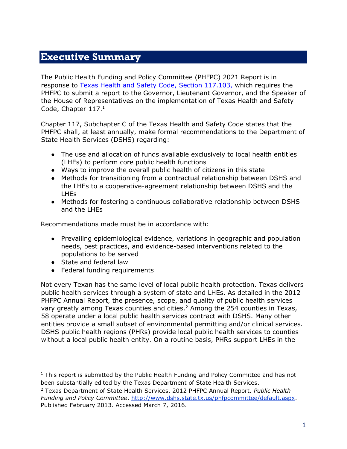#### <span id="page-2-0"></span>**Executive Summary**

The Public Health Funding and Policy Committee (PHFPC) 2021 Report is in response to [Texas Health and Safety Code, Section 117.103,](http://www.statutes.legis.state.tx.us/Docs/HS/htm/HS.117.htm) which requires the PHFPC to submit a report to the Governor, Lieutenant Governor, and the Speaker of the House of Representatives on the implementation of Texas Health and Safety Code, Chapter 117.<sup>1</sup>

Chapter 117, Subchapter C of the Texas Health and Safety Code states that the PHFPC shall, at least annually, make formal recommendations to the Department of State Health Services (DSHS) regarding:

- The use and allocation of funds available exclusively to local health entities (LHEs) to perform core public health functions
- Ways to improve the overall public health of citizens in this state
- Methods for transitioning from a contractual relationship between DSHS and the LHEs to a cooperative-agreement relationship between DSHS and the LHEs
- Methods for fostering a continuous collaborative relationship between DSHS and the LHEs

Recommendations made must be in accordance with:

- Prevailing epidemiological evidence, variations in geographic and population needs, best practices, and evidence-based interventions related to the populations to be served
- State and federal law
- Federal funding requirements

Not every Texan has the same level of local public health protection. Texas delivers public health services through a system of state and LHEs. As detailed in the 2012 PHFPC Annual Report, the presence, scope, and quality of public health services vary greatly among Texas counties and cities.<sup>2</sup> Among the 254 counties in Texas, 58 operate under a local public health services contract with DSHS. Many other entities provide a small subset of environmental permitting and/or clinical services. DSHS public health regions (PHRs) provide local public health services to counties without a local public health entity. On a routine basis, PHRs support LHEs in the

 $1$  This report is submitted by the Public Health Funding and Policy Committee and has not been substantially edited by the Texas Department of State Health Services.

<sup>2</sup> Texas Department of State Health Services. 2012 PHFPC Annual Report. *Public Health Funding and Policy Committee.* [http://www.dshs.state.tx.us/phfpcommittee/default.aspx.](http://www.dshs.state.tx.us/phfpcommittee/default.aspx) Published February 2013. Accessed March 7, 2016.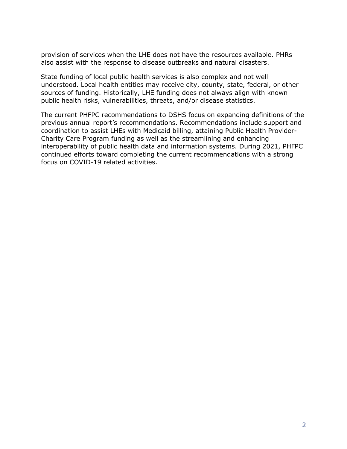provision of services when the LHE does not have the resources available. PHRs also assist with the response to disease outbreaks and natural disasters.

State funding of local public health services is also complex and not well understood. Local health entities may receive city, county, state, federal, or other sources of funding. Historically, LHE funding does not always align with known public health risks, vulnerabilities, threats, and/or disease statistics.

The current PHFPC recommendations to DSHS focus on expanding definitions of the previous annual report's recommendations. Recommendations include support and coordination to assist LHEs with Medicaid billing, attaining Public Health Provider-Charity Care Program funding as well as the streamlining and enhancing interoperability of public health data and information systems. During 2021, PHFPC continued efforts toward completing the current recommendations with a strong focus on COVID-19 related activities.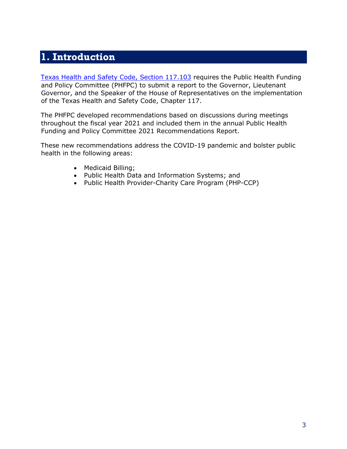# <span id="page-4-0"></span>**1. Introduction**

[Texas Health and Safety Code, Section 117.103](https://statutes.capitol.texas.gov/Docs/HS/htm/HS.117.htm) [r](https://statutes.capitol.texas.gov/Docs/HS/htm/HS.117.htm)equires the Public Health Funding and Policy Committee (PHFPC) to submit a report to the Governor, Lieutenant Governor, and the Speaker of the House of Representatives on the implementation of the Texas Health and Safety Code, Chapter 117.

The PHFPC developed recommendations based on discussions during meetings throughout the fiscal year 2021 and included them in the annual Public Health Funding and Policy Committee 2021 Recommendations Report.

These new recommendations address the COVID-19 pandemic and bolster public health in the following areas:

- Medicaid Billing;
- Public Health Data and Information Systems; and
- <span id="page-4-1"></span>• Public Health Provider-Charity Care Program (PHP-CCP)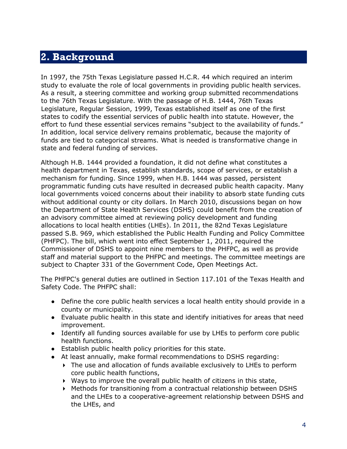# **2. Background**

In 1997, the 75th Texas Legislature passed H.C.R. 44 which required an interim study to evaluate the role of local governments in providing public health services. As a result, a steering committee and working group submitted recommendations to the 76th Texas Legislature. With the passage of H.B. 1444, 76th Texas Legislature, Regular Session, 1999, Texas established itself as one of the first states to codify the essential services of public health into statute. However, the effort to fund these essential services remains "subject to the availability of funds." In addition, local service delivery remains problematic, because the majority of funds are tied to categorical streams. What is needed is transformative change in state and federal funding of services.

Although H.B. 1444 provided a foundation, it did not define what constitutes a health department in Texas, establish standards, scope of services, or establish a mechanism for funding. Since 1999, when H.B. 1444 was passed, persistent programmatic funding cuts have resulted in decreased public health capacity. Many local governments voiced concerns about their inability to absorb state funding cuts without additional county or city dollars. In March 2010, discussions began on how the Department of State Health Services (DSHS) could benefit from the creation of an advisory committee aimed at reviewing policy development and funding allocations to local health entities (LHEs). In 2011, the 82nd Texas Legislature passed S.B. 969, which established the Public Health Funding and Policy Committee (PHFPC). The bill, which went into effect September 1, 2011, required the Commissioner of DSHS to appoint nine members to the PHFPC, as well as provide staff and material support to the PHFPC and meetings. The committee meetings are subject to Chapter 331 of the Government Code, Open Meetings Act.

The PHFPC's general duties are outlined in Section 117.101 of the Texas Health and Safety Code. The PHFPC shall:

- Define the core public health services a local health entity should provide in a county or municipality.
- Evaluate public health in this state and identify initiatives for areas that need improvement.
- Identify all funding sources available for use by LHEs to perform core public health functions.
- Establish public health policy priorities for this state.
- At least annually, make formal recommendations to DSHS regarding:
	- The use and allocation of funds available exclusively to LHEs to perform core public health functions,
	- Ways to improve the overall public health of citizens in this state,
	- Methods for transitioning from a contractual relationship between DSHS and the LHEs to a cooperative-agreement relationship between DSHS and the LHEs, and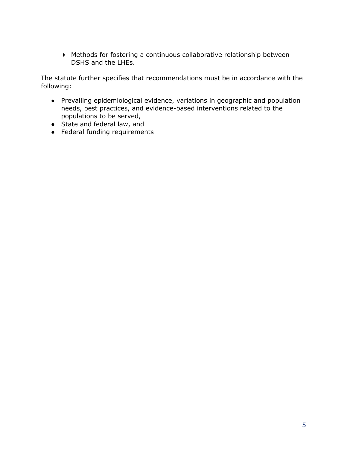Methods for fostering a continuous collaborative relationship between DSHS and the LHEs.

The statute further specifies that recommendations must be in accordance with the following:

- Prevailing epidemiological evidence, variations in geographic and population needs, best practices, and evidence-based interventions related to the populations to be served,
- State and federal law, and
- Federal funding requirements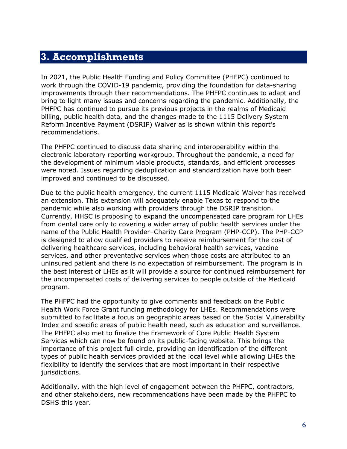### <span id="page-7-0"></span>**3. Accomplishments**

In 2021, the Public Health Funding and Policy Committee (PHFPC) continued to work through the COVID-19 pandemic, providing the foundation for data-sharing improvements through their recommendations. The PHFPC continues to adapt and bring to light many issues and concerns regarding the pandemic. Additionally, the PHFPC has continued to pursue its previous projects in the realms of Medicaid billing, public health data, and the changes made to the 1115 Delivery System Reform Incentive Payment (DSRIP) Waiver as is shown within this report's recommendations.

The PHFPC continued to discuss data sharing and interoperability within the electronic laboratory reporting workgroup. Throughout the pandemic, a need for the development of minimum viable products, standards, and efficient processes were noted. Issues regarding deduplication and standardization have both been improved and continued to be discussed.

Due to the public health emergency, the current 1115 Medicaid Waiver has received an extension. This extension will adequately enable Texas to respond to the pandemic while also working with providers through the DSRIP transition. Currently, HHSC is proposing to expand the uncompensated care program for LHEs from dental care only to covering a wider array of public health services under the name of the Public Health Provider–Charity Care Program (PHP-CCP). The PHP-CCP is designed to allow qualified providers to receive reimbursement for the cost of delivering healthcare services, including behavioral health services, vaccine services, and other preventative services when those costs are attributed to an uninsured patient and there is no expectation of reimbursement. The program is in the best interest of LHEs as it will provide a source for continued reimbursement for the uncompensated costs of delivering services to people outside of the Medicaid program.

The PHFPC had the opportunity to give comments and feedback on the Public Health Work Force Grant funding methodology for LHEs. Recommendations were submitted to facilitate a focus on geographic areas based on the Social Vulnerability Index and specific areas of public health need, such as education and surveillance. The PHFPC also met to finalize the Framework of Core Public Health System Services which can now be found on its public-facing website. This brings the importance of this project full circle, providing an identification of the different types of public health services provided at the local level while allowing LHEs the flexibility to identify the services that are most important in their respective jurisdictions.

Additionally, with the high level of engagement between the PHFPC, contractors, and other stakeholders, new recommendations have been made by the PHFPC to DSHS this year.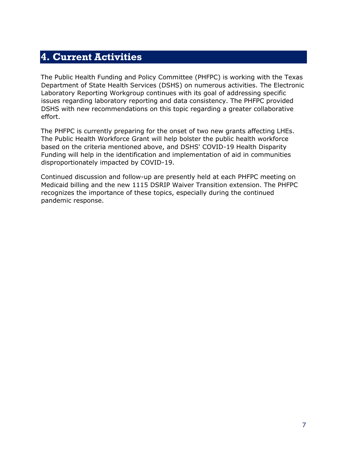## <span id="page-8-0"></span>**4. Current Activities**

The Public Health Funding and Policy Committee (PHFPC) is working with the Texas Department of State Health Services (DSHS) on numerous activities. The Electronic Laboratory Reporting Workgroup continues with its goal of addressing specific issues regarding laboratory reporting and data consistency. The PHFPC provided DSHS with new recommendations on this topic regarding a greater collaborative effort.

The PHFPC is currently preparing for the onset of two new grants affecting LHEs. The Public Health Workforce Grant will help bolster the public health workforce based on the criteria mentioned above, and DSHS' COVID-19 Health Disparity Funding will help in the identification and implementation of aid in communities disproportionately impacted by COVID-19.

<span id="page-8-1"></span>Continued discussion and follow-up are presently held at each PHFPC meeting on Medicaid billing and the new 1115 DSRIP Waiver Transition extension. The PHFPC recognizes the importance of these topics, especially during the continued pandemic response.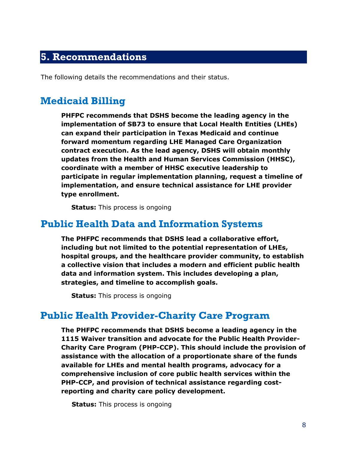#### **5. Recommendations**

The following details the recommendations and their status.

### <span id="page-9-0"></span>**Medicaid Billing**

**PHFPC recommends that DSHS become the leading agency in the implementation of SB73 to ensure that Local Health Entities (LHEs) can expand their participation in Texas Medicaid and continue forward momentum regarding LHE Managed Care Organization contract execution. As the lead agency, DSHS will obtain monthly updates from the Health and Human Services Commission (HHSC), coordinate with a member of HHSC executive leadership to participate in regular implementation planning, request a timeline of implementation, and ensure technical assistance for LHE provider type enrollment.**

**Status:** This process is ongoing

#### <span id="page-9-1"></span>**Public Health Data and Information Systems**

**The PHFPC recommends that DSHS lead a collaborative effort, including but not limited to the potential representation of LHEs, hospital groups, and the healthcare provider community, to establish a collective vision that includes a modern and efficient public health data and information system. This includes developing a plan, strategies, and timeline to accomplish goals.**

**Status:** This process is ongoing

#### <span id="page-9-2"></span>**Public Health Provider-Charity Care Program**

**The PHFPC recommends that DSHS become a leading agency in the 1115 Waiver transition and advocate for the Public Health Provider-Charity Care Program (PHP-CCP). This should include the provision of assistance with the allocation of a proportionate share of the funds available for LHEs and mental health programs, advocacy for a comprehensive inclusion of core public health services within the PHP-CCP, and provision of technical assistance regarding costreporting and charity care policy development.**

**Status:** This process is ongoing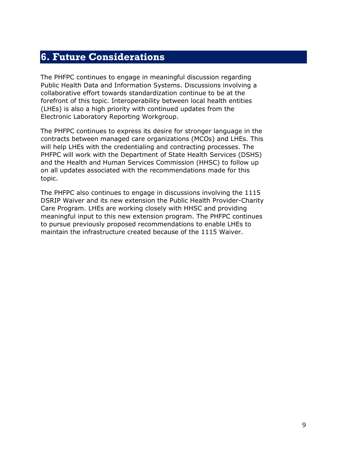# <span id="page-10-0"></span>**6. Future Considerations**

The PHFPC continues to engage in meaningful discussion regarding Public Health Data and Information Systems. Discussions involving a collaborative effort towards standardization continue to be at the forefront of this topic. Interoperability between local health entities (LHEs) is also a high priority with continued updates from the Electronic Laboratory Reporting Workgroup.

The PHFPC continues to express its desire for stronger language in the contracts between managed care organizations (MCOs) and LHEs. This will help LHEs with the credentialing and contracting processes. The PHFPC will work with the Department of State Health Services (DSHS) and the Health and Human Services Commission (HHSC) to follow up on all updates associated with the recommendations made for this topic.

<span id="page-10-1"></span>The PHFPC also continues to engage in discussions involving the 1115 DSRIP Waiver and its new extension the Public Health Provider-Charity Care Program. LHEs are working closely with HHSC and providing meaningful input to this new extension program. The PHFPC continues to pursue previously proposed recommendations to enable LHEs to maintain the infrastructure created because of the 1115 Waiver.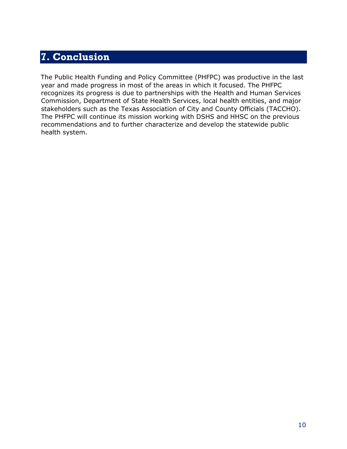# **7. Conclusion**

The Public Health Funding and Policy Committee (PHFPC) was productive in the last year and made progress in most of the areas in which it focused. The PHFPC recognizes its progress is due to partnerships with the Health and Human Services Commission, Department of State Health Services, local health entities, and major stakeholders such as the Texas Association of City and County Officials (TACCHO). The PHFPC will continue its mission working with DSHS and HHSC on the previous recommendations and to further characterize and develop the statewide public health system.